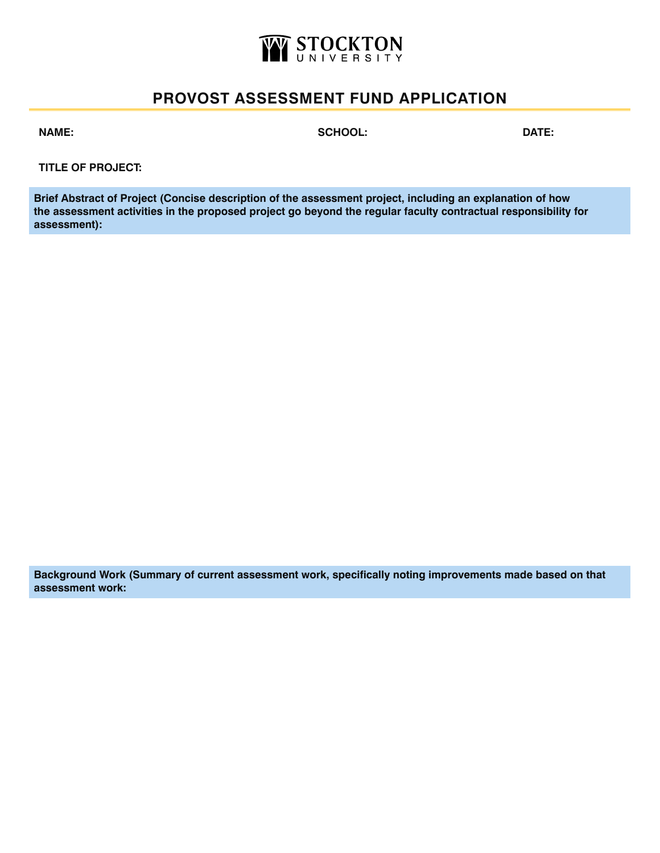

## **PROVOST ASSESSMENT FUND APPLICATION**

**NAME: SCHOOL: DATE:**

**TITLE OF PROJECT:**

**Brief Abstract of Project (Concise description of the assessment project, including an explanation of how the assessment activities in the proposed project go beyond the regular faculty contractual responsibility for assessment):** 

**Background Work (Summary of current assessment work, specifically noting improvements made based on that assessment work:**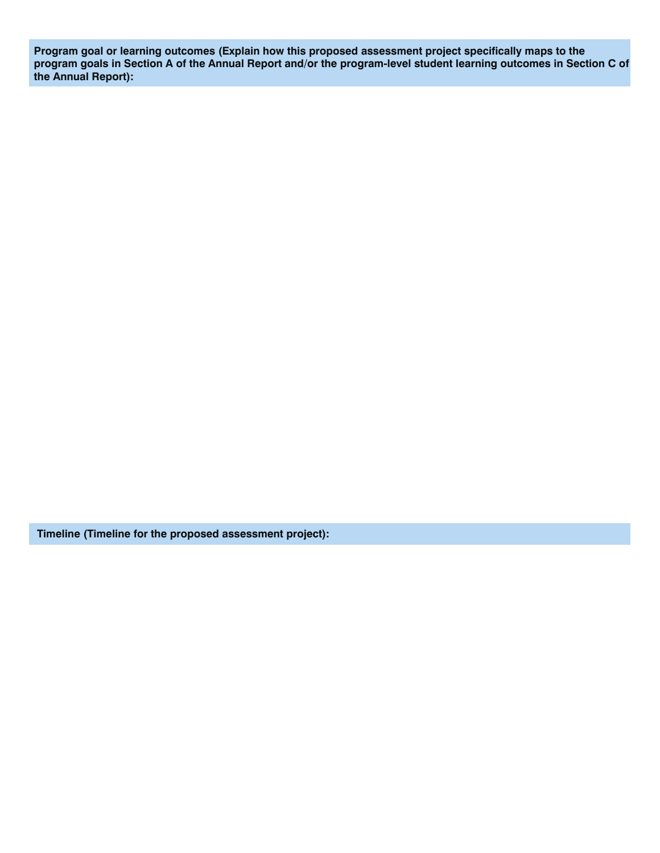**Program goal or learning outcomes (Explain how this proposed assessment project specifically maps to the program goals in Section A of the Annual Report and/or the program-level student learning outcomes in Section C of the Annual Report):** 

 **Timeline (Timeline for the proposed assessment project):**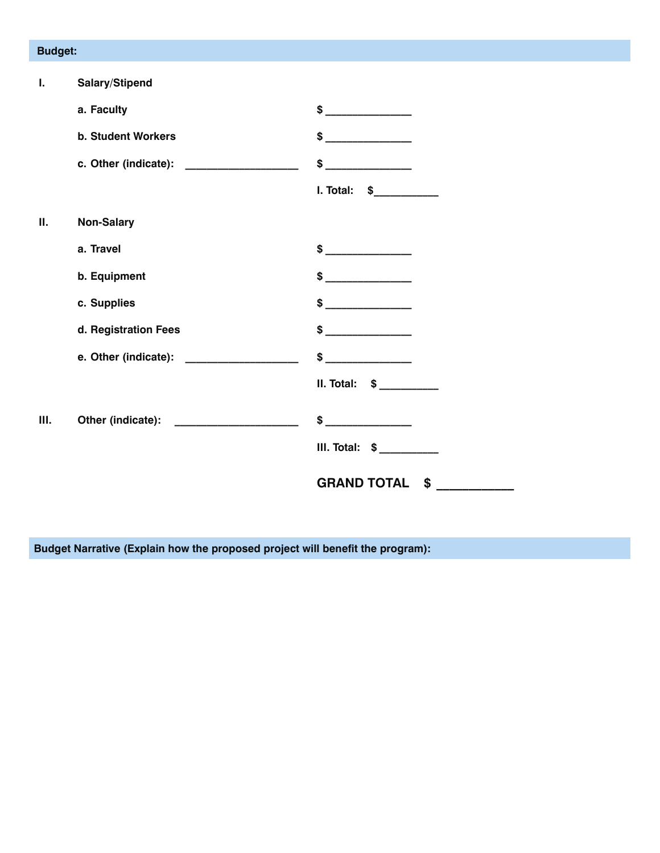## **Budget:**

| $\mathbf{I}$ . | Salary/Stipend                             |                                                      |
|----------------|--------------------------------------------|------------------------------------------------------|
|                | a. Faculty                                 | $\frac{1}{2}$                                        |
|                | <b>b. Student Workers</b>                  | \$                                                   |
|                | c. Other (indicate): ____________________  | \$                                                   |
|                |                                            | I. Total: \$___________                              |
| П.             | <b>Non-Salary</b>                          |                                                      |
|                | a. Travel                                  | $\frac{1}{2}$                                        |
|                | b. Equipment                               |                                                      |
|                | c. Supplies                                | $\frac{1}{2}$                                        |
|                | d. Registration Fees                       |                                                      |
|                | e. Other (indicate): ____________________  | \$<br><u> 1990 - Jan Barbara Barat, prima popula</u> |
|                |                                            | $II. Total: $ \_$                                    |
| Ш.             | Other (indicate): ________________________ | $$$ $$$                                              |
|                |                                            | $III. Total: $ ________$                             |
|                |                                            | <b>GRAND TOTAL</b><br>$\sim$                         |

**Budget Narrative (Explain how the proposed project will benefit the program):**